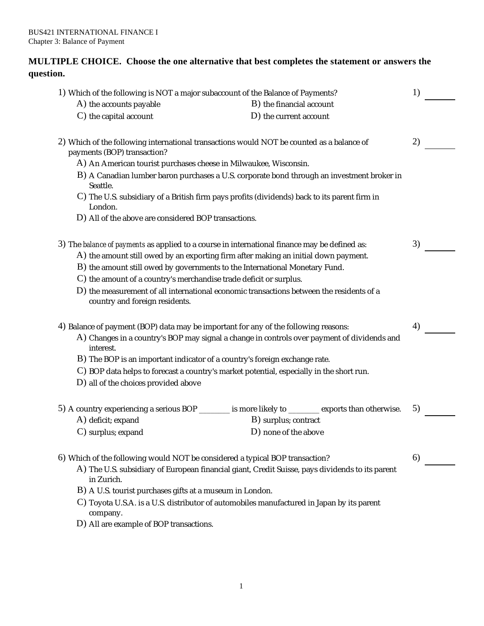## **MULTIPLE CHOICE. Choose the one alternative that best completes the statement or answers the question.**

| 1) Which of the following is NOT a major subaccount of the Balance of Payments?<br>A) the accounts payable                                                                                                                                                          | B) the financial account | 1) |
|---------------------------------------------------------------------------------------------------------------------------------------------------------------------------------------------------------------------------------------------------------------------|--------------------------|----|
| C) the capital account                                                                                                                                                                                                                                              | D) the current account   |    |
| 2) Which of the following international transactions would NOT be counted as a balance of<br>payments (BOP) transaction?                                                                                                                                            |                          | 2) |
| A) An American tourist purchases cheese in Milwaukee, Wisconsin.                                                                                                                                                                                                    |                          |    |
| B) A Canadian lumber baron purchases a U.S. corporate bond through an investment broker in<br>Seattle.                                                                                                                                                              |                          |    |
| C) The U.S. subsidiary of a British firm pays profits (dividends) back to its parent firm in<br>London.                                                                                                                                                             |                          |    |
| D) All of the above are considered BOP transactions.                                                                                                                                                                                                                |                          |    |
| 3) The balance of payments as applied to a course in international finance may be defined as:<br>A) the amount still owed by an exporting firm after making an initial down payment.<br>B) the amount still owed by governments to the International Monetary Fund. |                          | 3) |
| C) the amount of a country's merchandise trade deficit or surplus.                                                                                                                                                                                                  |                          |    |
| D) the measurement of all international economic transactions between the residents of a<br>country and foreign residents.                                                                                                                                          |                          |    |
| 4) Balance of payment (BOP) data may be important for any of the following reasons:                                                                                                                                                                                 |                          | 4) |
| A) Changes in a country's BOP may signal a change in controls over payment of dividends and<br>interest.                                                                                                                                                            |                          |    |
| B) The BOP is an important indicator of a country's foreign exchange rate.                                                                                                                                                                                          |                          |    |
| C) BOP data helps to forecast a country's market potential, especially in the short run.                                                                                                                                                                            |                          |    |
| D) all of the choices provided above                                                                                                                                                                                                                                |                          |    |
| 5) A country experiencing a serious BOP _______ is more likely to ______ exports than otherwise.                                                                                                                                                                    |                          | 5) |
| A) deficit; expand                                                                                                                                                                                                                                                  | B) surplus; contract     |    |
| C) surplus; expand                                                                                                                                                                                                                                                  | D) none of the above     |    |
| 6) Which of the following would NOT be considered a typical BOP transaction?                                                                                                                                                                                        |                          | 6) |
| A) The U.S. subsidiary of European financial giant, Credit Suisse, pays dividends to its parent<br>in Zurich.                                                                                                                                                       |                          |    |
| B) A U.S. tourist purchases gifts at a museum in London.                                                                                                                                                                                                            |                          |    |
| C) Toyota U.S.A. is a U.S. distributor of automobiles manufactured in Japan by its parent<br>company.                                                                                                                                                               |                          |    |
| D) All are example of BOP transactions.                                                                                                                                                                                                                             |                          |    |
|                                                                                                                                                                                                                                                                     |                          |    |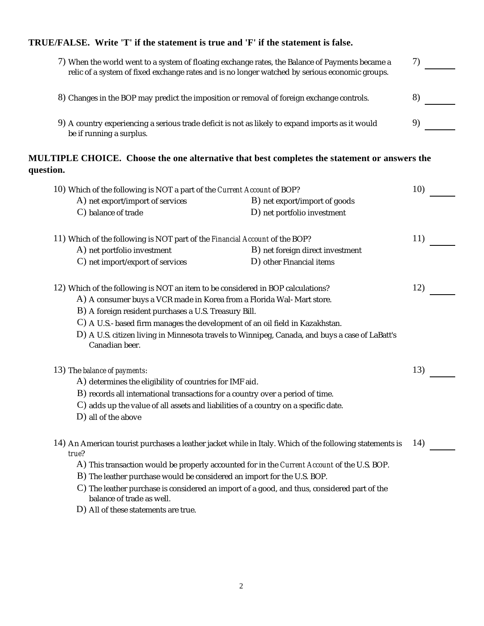# **TRUE/FALSE. Write 'T' if the statement is true and 'F' if the statement is false.**

| 7) When the world went to a system of floating exchange rates, the Balance of Payments became a<br>relic of a system of fixed exchange rates and is no longer watched by serious economic groups. |                                                                                                         | 7)  |
|---------------------------------------------------------------------------------------------------------------------------------------------------------------------------------------------------|---------------------------------------------------------------------------------------------------------|-----|
| 8) Changes in the BOP may predict the imposition or removal of foreign exchange controls.                                                                                                         |                                                                                                         | 8)  |
| be if running a surplus.                                                                                                                                                                          | 9) A country experiencing a serious trade deficit is not as likely to expand imports as it would        | 9)  |
| question.                                                                                                                                                                                         | MULTIPLE CHOICE. Choose the one alternative that best completes the statement or answers the            |     |
| 10) Which of the following is NOT a part of the Current Account of BOP?                                                                                                                           |                                                                                                         | 10) |
| A) net export/import of services                                                                                                                                                                  | B) net export/import of goods                                                                           |     |
| C) balance of trade                                                                                                                                                                               | D) net portfolio investment                                                                             |     |
| 11) Which of the following is NOT part of the Financial Account of the BOP?                                                                                                                       |                                                                                                         | 11) |
| A) net portfolio investment                                                                                                                                                                       | B) net foreign direct investment                                                                        |     |
| C) net import/export of services                                                                                                                                                                  | D) other Financial items                                                                                |     |
| 12) Which of the following is NOT an item to be considered in BOP calculations?                                                                                                                   |                                                                                                         | 12) |
| A) A consumer buys a VCR made in Korea from a Florida Wal-Mart store.                                                                                                                             |                                                                                                         |     |
| B) A foreign resident purchases a U.S. Treasury Bill.                                                                                                                                             |                                                                                                         |     |
| C) A U.S.-based firm manages the development of an oil field in Kazakhstan.                                                                                                                       |                                                                                                         |     |
| Canadian beer.                                                                                                                                                                                    | D) A U.S. citizen living in Minnesota travels to Winnipeg, Canada, and buys a case of LaBatt's          |     |
| 13) The balance of payments:                                                                                                                                                                      |                                                                                                         | 13) |
| A) determines the eligibility of countries for IMF aid.                                                                                                                                           |                                                                                                         |     |
| B) records all international transactions for a country over a period of time.                                                                                                                    |                                                                                                         |     |
| $\rm C)$ adds up the value of all assets and liabilities of a country on a specific date.                                                                                                         |                                                                                                         |     |
| $D$ ) all of the above                                                                                                                                                                            |                                                                                                         |     |
| true?                                                                                                                                                                                             | 14) An American tourist purchases a leather jacket while in Italy. Which of the following statements is | 14) |
|                                                                                                                                                                                                   | A) This transaction would be properly accounted for in the Current Account of the U.S. BOP.             |     |
| B) The leather purchase would be considered an import for the U.S. BOP.                                                                                                                           |                                                                                                         |     |
| balance of trade as well.                                                                                                                                                                         | C) The leather purchase is considered an import of a good, and thus, considered part of the             |     |
| D) All of these statements are true.                                                                                                                                                              |                                                                                                         |     |

2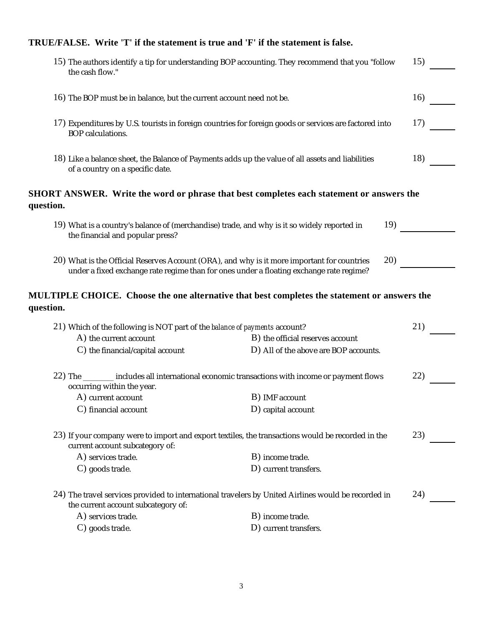# **TRUE/FALSE. Write 'T' if the statement is true and 'F' if the statement is false.**

| 15) The authors identify a tip for understanding BOP accounting. They recommend that you "follow<br>the cash flow."                                                                    |                                       | 15) |
|----------------------------------------------------------------------------------------------------------------------------------------------------------------------------------------|---------------------------------------|-----|
| 16) The BOP must be in balance, but the current account need not be.                                                                                                                   |                                       | 16) |
| 17) Expenditures by U.S. tourists in foreign countries for foreign goods or services are factored into<br>BOP calculations.                                                            |                                       | 17) |
| 18) Like a balance sheet, the Balance of Payments adds up the value of all assets and liabilities<br>of a country on a specific date.                                                  |                                       | 18) |
| <b>SHORT ANSWER.</b> Write the word or phrase that best completes each statement or answers the<br>question.                                                                           |                                       |     |
| 19) What is a country's balance of (merchandise) trade, and why is it so widely reported in<br>the financial and popular press?                                                        | 19)                                   |     |
| 20) What is the Official Reserves Account (ORA), and why is it more important for countries<br>under a fixed exchange rate regime than for ones under a floating exchange rate regime? | 20)                                   |     |
| MULTIPLE CHOICE. Choose the one alternative that best completes the statement or answers the<br>question.                                                                              |                                       |     |
| 21) Which of the following is NOT part of the balance of payments account?                                                                                                             |                                       | 21) |
| A) the current account                                                                                                                                                                 | B) the official reserves account      |     |
| C) the financial/capital account                                                                                                                                                       | D) All of the above are BOP accounts. |     |
|                                                                                                                                                                                        |                                       |     |
| 22) The _______ includes all international economic transactions with income or payment flows                                                                                          |                                       | 22) |
| occurring within the year.<br>A) current account                                                                                                                                       | B) IMF account                        |     |
| C) financial account                                                                                                                                                                   | D) capital account                    |     |
| 23) If your company were to import and export textiles, the transactions would be recorded in the<br>current account subcategory of:                                                   |                                       | 23) |
| A) services trade.                                                                                                                                                                     | B) income trade.                      |     |
| C) goods trade.                                                                                                                                                                        | D) current transfers.                 |     |
| 24) The travel services provided to international travelers by United Airlines would be recorded in<br>the current account subcategory of:                                             |                                       | 24) |
| A) services trade.                                                                                                                                                                     | B) income trade.                      |     |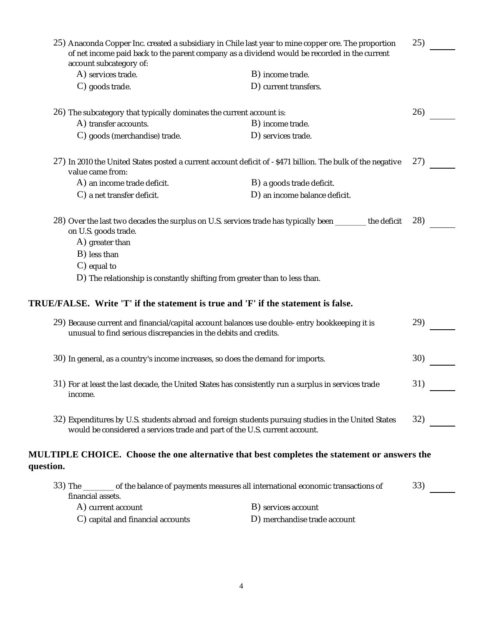|                                                                                                      |                                                                  | 25) Anaconda Copper Inc. created a subsidiary in Chile last year to mine copper ore. The proportion        | 25) |
|------------------------------------------------------------------------------------------------------|------------------------------------------------------------------|------------------------------------------------------------------------------------------------------------|-----|
| account subcategory of:                                                                              |                                                                  | of net income paid back to the parent company as a dividend would be recorded in the current               |     |
| A) services trade.                                                                                   |                                                                  | B) income trade.                                                                                           |     |
| C) goods trade.                                                                                      |                                                                  | D) current transfers.                                                                                      |     |
| 26) The subcategory that typically dominates the current account is:                                 |                                                                  |                                                                                                            | 26) |
| A) transfer accounts.                                                                                |                                                                  | B) income trade.                                                                                           |     |
| C) goods (merchandise) trade.                                                                        |                                                                  | D) services trade.                                                                                         |     |
| value came from:                                                                                     |                                                                  | 27) In 2010 the United States posted a current account deficit of -\$471 billion. The bulk of the negative | 27) |
| A) an income trade deficit.                                                                          |                                                                  | B) a goods trade deficit.                                                                                  |     |
| C) a net transfer deficit.                                                                           |                                                                  | D) an income balance deficit.                                                                              |     |
| on U.S. goods trade.                                                                                 |                                                                  | 28) Over the last two decades the surplus on U.S. services trade has typically been _______ the deficit    | 28) |
| A) greater than                                                                                      |                                                                  |                                                                                                            |     |
| B) less than                                                                                         |                                                                  |                                                                                                            |     |
| $C$ ) equal to                                                                                       |                                                                  |                                                                                                            |     |
|                                                                                                      |                                                                  | D) The relationship is constantly shifting from greater than to less than.                                 |     |
|                                                                                                      |                                                                  | TRUE/FALSE. Write 'T' if the statement is true and 'F' if the statement is false.                          |     |
|                                                                                                      |                                                                  | 29) Because current and financial/capital account balances use double-entry bookkeeping it is              | 29) |
|                                                                                                      | unusual to find serious discrepancies in the debits and credits. |                                                                                                            |     |
|                                                                                                      |                                                                  | 30) In general, as a country's income increases, so does the demand for imports.                           | 30) |
| 31) For at least the last decade, the United States has consistently run a surplus in services trade |                                                                  | 31)                                                                                                        |     |
| income.                                                                                              |                                                                  |                                                                                                            |     |
|                                                                                                      |                                                                  | 32) Expenditures by U.S. students abroad and foreign students pursuing studies in the United States        | 32) |
|                                                                                                      |                                                                  | would be considered a services trade and part of the U.S. current account.                                 |     |
| question.                                                                                            |                                                                  | MULTIPLE CHOICE. Choose the one alternative that best completes the statement or answers the               |     |
| financial assets.                                                                                    |                                                                  | 33) The ________ of the balance of payments measures all international economic transactions of            | 33) |
| A) current account                                                                                   |                                                                  | B) services account                                                                                        |     |

C) capital and financial accounts D) merchandise trade account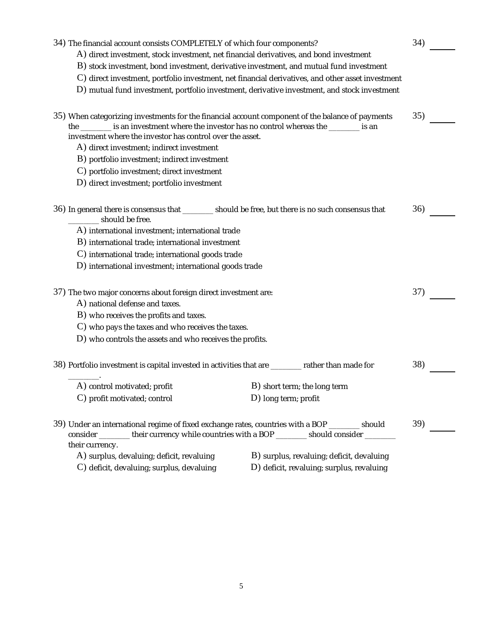| 34) The financial account consists COMPLETELY of which four components?                            |                                              | 34) |
|----------------------------------------------------------------------------------------------------|----------------------------------------------|-----|
| A) direct investment, stock investment, net financial derivatives, and bond investment             |                                              |     |
| B) stock investment, bond investment, derivative investment, and mutual fund investment            |                                              |     |
| C) direct investment, portfolio investment, net financial derivatives, and other asset investment  |                                              |     |
| D) mutual fund investment, portfolio investment, derivative investment, and stock investment       |                                              |     |
|                                                                                                    |                                              |     |
| 35) When categorizing investments for the financial account component of the balance of payments   |                                              | 35) |
| the ________ is an investment where the investor has no control whereas the ________ is an         |                                              |     |
| investment where the investor has control over the asset.                                          |                                              |     |
| A) direct investment; indirect investment                                                          |                                              |     |
| B) portfolio investment; indirect investment                                                       |                                              |     |
| C) portfolio investment; direct investment                                                         |                                              |     |
| D) direct investment; portfolio investment                                                         |                                              |     |
|                                                                                                    |                                              |     |
| 36) In general there is consensus that _______ should be free, but there is no such consensus that |                                              | 36) |
| should be free.                                                                                    |                                              |     |
| A) international investment; international trade                                                   |                                              |     |
| B) international trade; international investment                                                   |                                              |     |
| C) international trade; international goods trade                                                  |                                              |     |
| D) international investment; international goods trade                                             |                                              |     |
|                                                                                                    |                                              |     |
| 37) The two major concerns about foreign direct investment are:                                    |                                              | 37) |
| A) national defense and taxes.                                                                     |                                              |     |
| B) who receives the profits and taxes.                                                             |                                              |     |
| C) who pays the taxes and who receives the taxes.                                                  |                                              |     |
| D) who controls the assets and who receives the profits.                                           |                                              |     |
| 38) Portfolio investment is capital invested in activities that are ________ rather than made for  |                                              | 38) |
|                                                                                                    |                                              |     |
| A) control motivated; profit                                                                       | B) short term; the long term                 |     |
| C) profit motivated; control                                                                       | $D)$ long term; profit                       |     |
|                                                                                                    |                                              |     |
| 39) Under an international regime of fixed exchange rates, countries with a BOP ________ should    |                                              | 39) |
| consider _______ their currency while countries with a BOP _______ should consider _______         |                                              |     |
| their currency.                                                                                    |                                              |     |
| A) surplus, devaluing; deficit, revaluing                                                          | B) surplus, revaluing; deficit, devaluing    |     |
| C) deficit, devaluing; surplus, devaluing                                                          | $D$ ) deficit, revaluing; surplus, revaluing |     |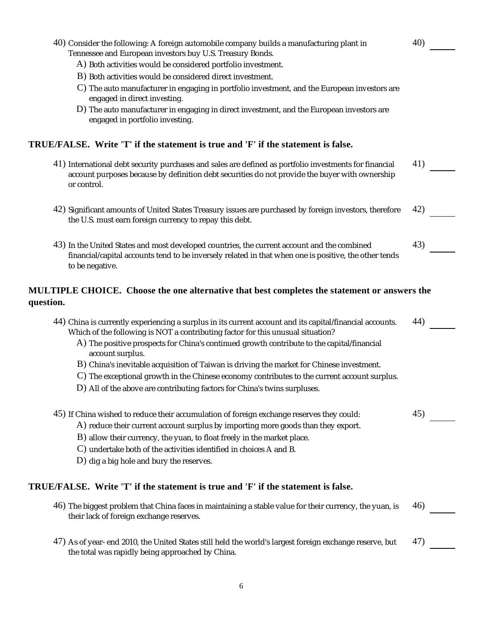| 40) Consider the following: A foreign automobile company builds a manufacturing plant in<br>Tennessee and European investors buy U.S. Treasury Bonds.                                                                   | 40) |
|-------------------------------------------------------------------------------------------------------------------------------------------------------------------------------------------------------------------------|-----|
| A) Both activities would be considered portfolio investment.                                                                                                                                                            |     |
| B) Both activities would be considered direct investment.                                                                                                                                                               |     |
| C) The auto manufacturer in engaging in portfolio investment, and the European investors are                                                                                                                            |     |
| engaged in direct investing.                                                                                                                                                                                            |     |
| D) The auto manufacturer in engaging in direct investment, and the European investors are<br>engaged in portfolio investing.                                                                                            |     |
| TRUE/FALSE. Write 'T' if the statement is true and 'F' if the statement is false.                                                                                                                                       |     |
| 41) International debt security purchases and sales are defined as portfolio investments for financial<br>account purposes because by definition debt securities do not provide the buyer with ownership<br>or control. | 41) |
| 42) Significant amounts of United States Treasury issues are purchased by foreign investors, therefore<br>the U.S. must earn foreign currency to repay this debt.                                                       | 42) |
| 43) In the United States and most developed countries, the current account and the combined                                                                                                                             | 43) |
| financial/capital accounts tend to be inversely related in that when one is positive, the other tends<br>to be negative.                                                                                                |     |
| MULTIPLE CHOICE. Choose the one alternative that best completes the statement or answers the<br>question.                                                                                                               |     |
| 44) China is currently experiencing a surplus in its current account and its capital/financial accounts.<br>Which of the following is NOT a contributing factor for this unusual situation?                             | 44) |
| A) The positive prospects for China's continued growth contribute to the capital/financial<br>account surplus.                                                                                                          |     |
| B) China's inevitable acquisition of Taiwan is driving the market for Chinese investment.                                                                                                                               |     |
| C) The exceptional growth in the Chinese economy contributes to the current account surplus.                                                                                                                            |     |
| D) All of the above are contributing factors for China's twins surpluses.                                                                                                                                               |     |
| 45) If China wished to reduce their accumulation of foreign exchange reserves they could:                                                                                                                               | 45) |
| A) reduce their current account surplus by importing more goods than they export.                                                                                                                                       |     |
| B) allow their currency, the yuan, to float freely in the market place.                                                                                                                                                 |     |
| C) undertake both of the activities identified in choices A and B.                                                                                                                                                      |     |
| D) dig a big hole and bury the reserves.                                                                                                                                                                                |     |
| TRUE/FALSE. Write 'T' if the statement is true and 'F' if the statement is false.                                                                                                                                       |     |
| 46) The biggest problem that China faces in maintaining a stable value for their currency, the yuan, is<br>their lack of foreign exchange reserves.                                                                     | 46) |
| 47) As of year-end 2010, the United States still held the world's largest foreign exchange reserve, but<br>the total was rapidly being approached by China.                                                             | 47) |
|                                                                                                                                                                                                                         |     |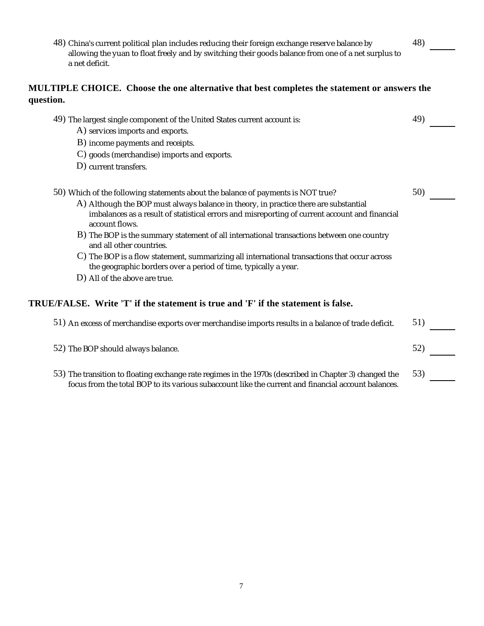48) China's current political plan includes reducing their foreign exchange reserve balance by allowing the yuan to float freely and by switching their goods balance from one of a net surplus to a net deficit.

48)

### **MULTIPLE CHOICE. Choose the one alternative that best completes the statement or answers the question.**

| 49) The largest single component of the United States current account is:                                                                                                                                     | 49) |
|---------------------------------------------------------------------------------------------------------------------------------------------------------------------------------------------------------------|-----|
| A) services imports and exports.                                                                                                                                                                              |     |
| B) income payments and receipts.                                                                                                                                                                              |     |
| C) goods (merchandise) imports and exports.                                                                                                                                                                   |     |
| D) current transfers.                                                                                                                                                                                         |     |
| 50) Which of the following statements about the balance of payments is NOT true?                                                                                                                              | 50) |
| A) Although the BOP must always balance in theory, in practice there are substantial                                                                                                                          |     |
| imbalances as a result of statistical errors and misreporting of current account and financial<br>account flows.                                                                                              |     |
| B) The BOP is the summary statement of all international transactions between one country<br>and all other countries.                                                                                         |     |
| C) The BOP is a flow statement, summarizing all international transactions that occur across                                                                                                                  |     |
| D) All of the above are true.                                                                                                                                                                                 |     |
| the geographic borders over a period of time, typically a year.<br>TRUE/FALSE. Write 'T' if the statement is true and 'F' if the statement is false.                                                          |     |
| 51) An excess of merchandise exports over merchandise imports results in a balance of trade deficit.                                                                                                          | 51) |
| 52) The BOP should always balance.                                                                                                                                                                            | 52) |
| 53) The transition to floating exchange rate regimes in the 1970s (described in Chapter 3) changed the<br>focus from the total BOP to its various subaccount like the current and financial account balances. | 53) |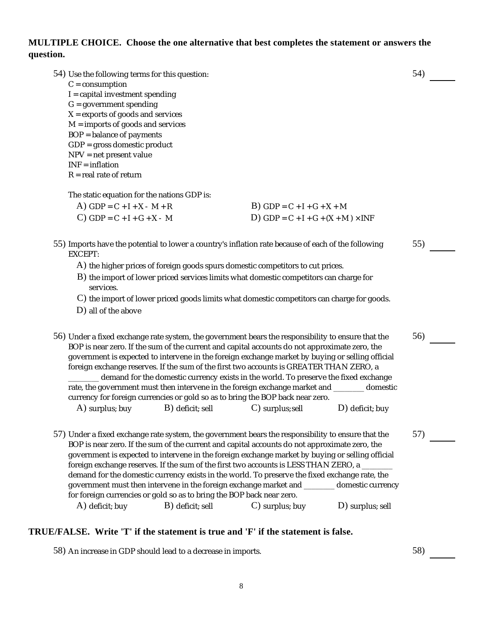## **MULTIPLE CHOICE. Choose the one alternative that best completes the statement or answers the question.**

| 54) Use the following terms for this question:                                                                 |                                                                       |                                                                                                                                                                                                   |                    | 54) |  |
|----------------------------------------------------------------------------------------------------------------|-----------------------------------------------------------------------|---------------------------------------------------------------------------------------------------------------------------------------------------------------------------------------------------|--------------------|-----|--|
| $C = consumption$                                                                                              |                                                                       |                                                                                                                                                                                                   |                    |     |  |
| $I = capital$ investment spending<br>$G = government$ spending                                                 |                                                                       |                                                                                                                                                                                                   |                    |     |  |
| $X =$ exports of goods and services                                                                            |                                                                       |                                                                                                                                                                                                   |                    |     |  |
| $M =$ imports of goods and services                                                                            |                                                                       |                                                                                                                                                                                                   |                    |     |  |
| BOP = balance of payments<br>GDP = gross domestic product                                                      |                                                                       |                                                                                                                                                                                                   |                    |     |  |
| NPV = net present value                                                                                        |                                                                       |                                                                                                                                                                                                   |                    |     |  |
| $INF = inflation$                                                                                              |                                                                       |                                                                                                                                                                                                   |                    |     |  |
| $R =$ real rate of return                                                                                      |                                                                       |                                                                                                                                                                                                   |                    |     |  |
| The static equation for the nations GDP is:                                                                    |                                                                       |                                                                                                                                                                                                   |                    |     |  |
| A) $GDP = C + I + X - M + R$                                                                                   |                                                                       | $B)$ GDP = C + I + G + X + M                                                                                                                                                                      |                    |     |  |
| $C)$ GDP = C + I + G + X - M                                                                                   |                                                                       | D) GDP = $C + I + G + (X + M) \times INF$                                                                                                                                                         |                    |     |  |
|                                                                                                                |                                                                       |                                                                                                                                                                                                   |                    |     |  |
| 55) Imports have the potential to lower a country's inflation rate because of each of the following<br>EXCEPT: |                                                                       |                                                                                                                                                                                                   |                    | 55) |  |
|                                                                                                                |                                                                       | A) the higher prices of foreign goods spurs domestic competitors to cut prices.                                                                                                                   |                    |     |  |
| services.                                                                                                      |                                                                       | B) the import of lower priced services limits what domestic competitors can charge for                                                                                                            |                    |     |  |
|                                                                                                                |                                                                       | C) the import of lower priced goods limits what domestic competitors can charge for goods.                                                                                                        |                    |     |  |
| D) all of the above                                                                                            |                                                                       |                                                                                                                                                                                                   |                    |     |  |
|                                                                                                                |                                                                       |                                                                                                                                                                                                   |                    |     |  |
| 56) Under a fixed exchange rate system, the government bears the responsibility to ensure that the             |                                                                       |                                                                                                                                                                                                   |                    | 56) |  |
|                                                                                                                |                                                                       | BOP is near zero. If the sum of the current and capital accounts do not approximate zero, the<br>government is expected to intervene in the foreign exchange market by buying or selling official |                    |     |  |
|                                                                                                                |                                                                       | foreign exchange reserves. If the sum of the first two accounts is GREATER THAN ZERO, a                                                                                                           |                    |     |  |
|                                                                                                                |                                                                       | demand for the domestic currency exists in the world. To preserve the fixed exchange                                                                                                              |                    |     |  |
|                                                                                                                |                                                                       | rate, the government must then intervene in the foreign exchange market and _______ domestic                                                                                                      |                    |     |  |
| A) surplus; buy                                                                                                | $B)$ deficit; sell                                                    | currency for foreign currencies or gold so as to bring the BOP back near zero.<br>$C$ ) surplus; sell                                                                                             | $D)$ deficit; buy  |     |  |
|                                                                                                                |                                                                       |                                                                                                                                                                                                   |                    |     |  |
| 57) Under a fixed exchange rate system, the government bears the responsibility to ensure that the             |                                                                       |                                                                                                                                                                                                   |                    | 57) |  |
|                                                                                                                |                                                                       | BOP is near zero. If the sum of the current and capital accounts do not approximate zero, the                                                                                                     |                    |     |  |
|                                                                                                                |                                                                       | government is expected to intervene in the foreign exchange market by buying or selling official                                                                                                  |                    |     |  |
|                                                                                                                |                                                                       | foreign exchange reserves. If the sum of the first two accounts is LESS THAN ZERO, a _______                                                                                                      |                    |     |  |
|                                                                                                                |                                                                       | demand for the domestic currency exists in the world. To preserve the fixed exchange rate, the<br>government must then intervene in the foreign exchange market and _______ domestic currency     |                    |     |  |
|                                                                                                                | for foreign currencies or gold so as to bring the BOP back near zero. |                                                                                                                                                                                                   |                    |     |  |
| A) deficit; buy                                                                                                | B) deficit; sell                                                      | $C$ ) surplus; buy                                                                                                                                                                                | $D)$ surplus; sell |     |  |

## **TRUE/FALSE. Write 'T' if the statement is true and 'F' if the statement is false.**

58) An increase in GDP should lead to a decrease in imports. 58) 58 58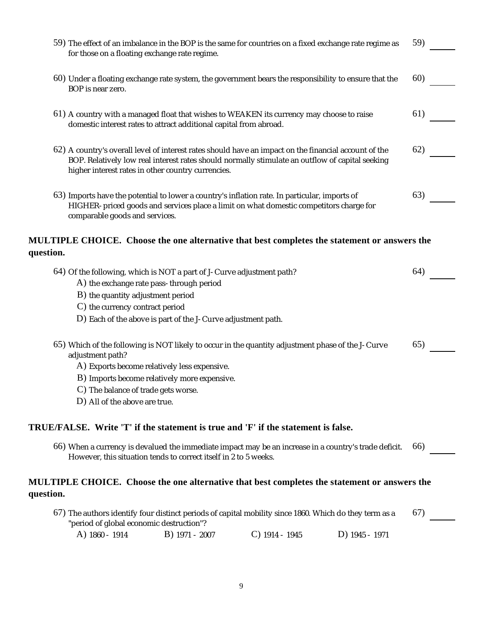| 59) The effect of an imbalance in the BOP is the same for countries on a fixed exchange rate regime as<br>for those on a floating exchange rate regime.                                                                                                                                       |                |                  |                | 59) |
|-----------------------------------------------------------------------------------------------------------------------------------------------------------------------------------------------------------------------------------------------------------------------------------------------|----------------|------------------|----------------|-----|
| 60) Under a floating exchange rate system, the government bears the responsibility to ensure that the<br>BOP is near zero.                                                                                                                                                                    |                |                  |                | 60) |
| 61) A country with a managed float that wishes to WEAKEN its currency may choose to raise<br>domestic interest rates to attract additional capital from abroad.                                                                                                                               |                |                  |                | 61) |
| 62) A country's overall level of interest rates should have an impact on the financial account of the<br>BOP. Relatively low real interest rates should normally stimulate an outflow of capital seeking<br>higher interest rates in other country currencies.                                |                |                  |                | 62) |
| 63) Imports have the potential to lower a country's inflation rate. In particular, imports of<br>HIGHER-priced goods and services place a limit on what domestic competitors charge for<br>comparable goods and services.                                                                     |                |                  |                | 63) |
| MULTIPLE CHOICE. Choose the one alternative that best completes the statement or answers the<br>question.                                                                                                                                                                                     |                |                  |                |     |
| 64) Of the following, which is NOT a part of J-Curve adjustment path?<br>A) the exchange rate pass-through period<br>B) the quantity adjustment period<br>C) the currency contract period<br>D) Each of the above is part of the J-Curve adjustment path.                                     |                |                  |                | 64) |
| 65) Which of the following is NOT likely to occur in the quantity adjustment phase of the J-Curve<br>adjustment path?<br>A) Exports become relatively less expensive.<br>B) Imports become relatively more expensive.<br>C) The balance of trade gets worse.<br>D) All of the above are true. |                |                  |                | 65) |
| TRUE/FALSE. Write 'T' if the statement is true and 'F' if the statement is false.                                                                                                                                                                                                             |                |                  |                |     |
| 66) When a currency is devalued the immediate impact may be an increase in a country's trade deficit.<br>However, this situation tends to correct itself in 2 to 5 weeks.                                                                                                                     |                |                  |                | 66) |
| <b>MULTIPLE CHOICE.</b> Choose the one alternative that best completes the statement or answers the<br>question.                                                                                                                                                                              |                |                  |                |     |
| 67) The authors identify four distinct periods of capital mobility since 1860. Which do they term as a<br>"period of global economic destruction"?                                                                                                                                            |                |                  |                | 67) |
| A) 1860 - 1914                                                                                                                                                                                                                                                                                | B) 1971 - 2007 | $C)$ 1914 - 1945 | D) 1945 - 1971 |     |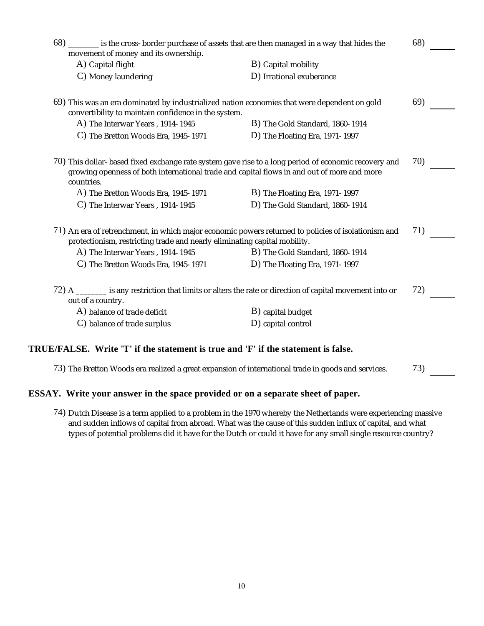| 68) _________ is the cross-border purchase of assets that are then managed in a way that hides the<br>movement of money and its ownership.           |                                                                                                      | 68) |
|------------------------------------------------------------------------------------------------------------------------------------------------------|------------------------------------------------------------------------------------------------------|-----|
| A) Capital flight                                                                                                                                    | B) Capital mobility                                                                                  |     |
| C) Money laundering                                                                                                                                  | D) Irrational exuberance                                                                             |     |
| 69) This was an era dominated by industrialized nation economies that were dependent on gold<br>convertibility to maintain confidence in the system. |                                                                                                      | 69) |
| A) The Interwar Years, 1914-1945                                                                                                                     | B) The Gold Standard, 1860-1914                                                                      |     |
| C) The Bretton Woods Era, 1945-1971                                                                                                                  | D) The Floating Era, 1971-1997                                                                       |     |
| growing openness of both international trade and capital flows in and out of more and more<br>countries.                                             | 70) This dollar-based fixed exchange rate system gave rise to a long period of economic recovery and | 70) |
| A) The Bretton Woods Era, 1945-1971                                                                                                                  | B) The Floating Era, 1971-1997                                                                       |     |
| C) The Interwar Years, 1914-1945                                                                                                                     | D) The Gold Standard, 1860-1914                                                                      |     |
| protectionism, restricting trade and nearly eliminating capital mobility.                                                                            | 71) An era of retrenchment, in which major economic powers returned to policies of isolationism and  | 71) |
| A) The Interwar Years, 1914-1945                                                                                                                     | B) The Gold Standard, 1860-1914                                                                      |     |
| C) The Bretton Woods Era, 1945-1971                                                                                                                  | D) The Floating Era, 1971-1997                                                                       |     |
| 72) A _______ is any restriction that limits or alters the rate or direction of capital movement into or<br>out of a country.                        |                                                                                                      | 72) |
| A) balance of trade deficit                                                                                                                          | B) capital budget                                                                                    |     |
| C) balance of trade surplus                                                                                                                          | D) capital control                                                                                   |     |
|                                                                                                                                                      |                                                                                                      |     |

#### **TRUE/FALSE. Write 'T' if the statement is true and 'F' if the statement is false.**

73) The Bretton Woods era realized a great expansion of international trade in goods and services. 73) 2007

#### **ESSAY. Write your answer in the space provided or on a separate sheet of paper.**

74) Dutch Disease is a term applied to a problem in the 1970 whereby the Netherlands were experiencing massive and sudden inflows of capital from abroad. What was the cause of this sudden influx of capital, and what types of potential problems did it have for the Dutch or could it have for any small single resource country?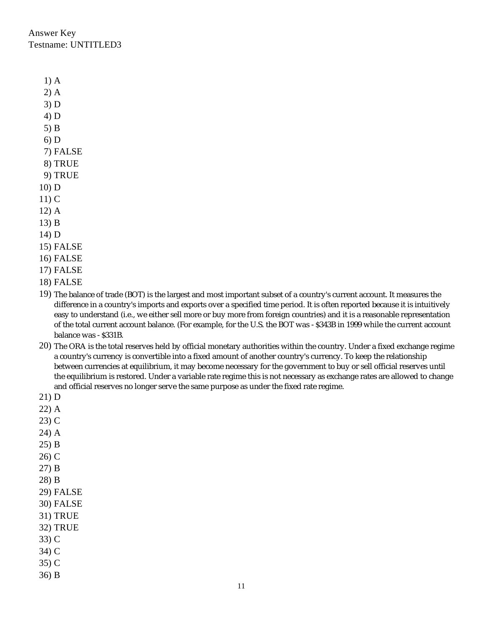Answer Key Testname: UNTITLED3

- 1) A
- 2) A
- 3) D
- 4) D
- 5) B
- 6) D
- 7) FALSE
- 8) TRUE
- 9) TRUE
- 10) D
- 11) C
- 12) A
- 13) B
- 14) D
- 15) FALSE
- 16) FALSE
- 17) FALSE
- 18) FALSE
- 19) The balance of trade (BOT) is the largest and most important subset of a country's current account. It measures the difference in a country's imports and exports over a specified time period. It is often reported because it is intuitively easy to understand (i.e., we either sell more or buy more from foreign countries) and it is a reasonable representation of the total current account balance. (For example, for the U.S. the BOT was -\$343B in 1999 while the current account balance was -\$331B.
- 20) The ORA is the total reserves held by official monetary authorities within the country. Under a fixed exchange regime a country's currency is convertible into a fixed amount of another country's currency. To keep the relationship between currencies at equilibrium, it may become necessary for the government to buy or sell official reserves until the equilibrium is restored. Under a variable rate regime this is not necessary as exchange rates are allowed to change and official reserves no longer serve the same purpose as under the fixed rate regime.
- 21) D
- 22) A
- 23) C
- 24) A
- 25) B
- 26) C
- 27) B
- 28) B
- 29) FALSE
- 30) FALSE
- 31) TRUE
- 32) TRUE
- 33) C
- 34) C
- 35) C
- 36) B